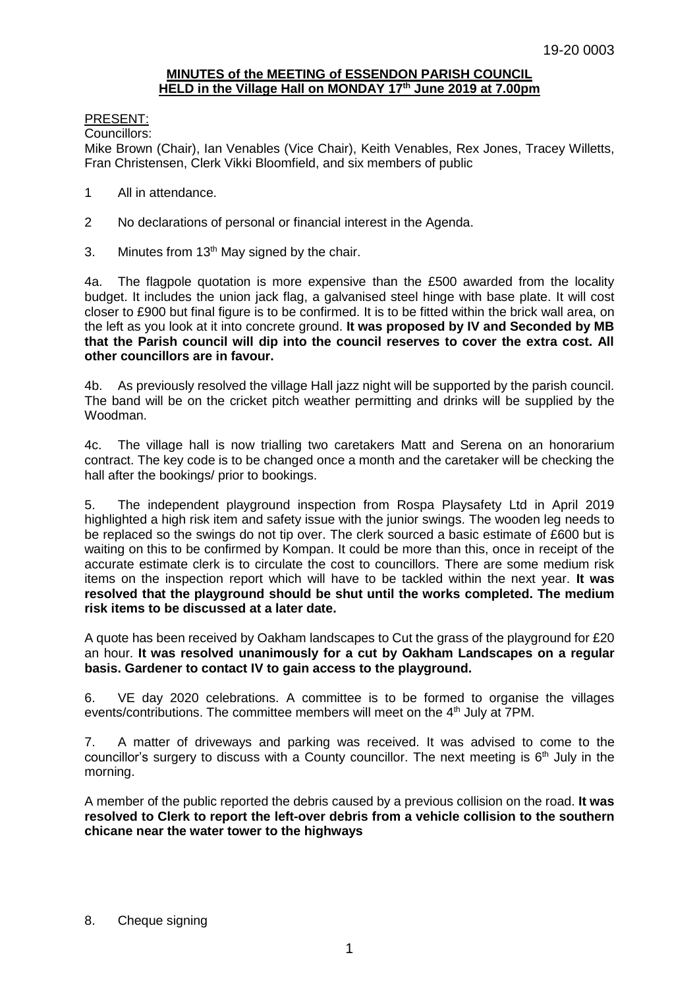## **MINUTES of the MEETING of ESSENDON PARISH COUNCIL HELD in the Village Hall on MONDAY 17th June 2019 at 7.00pm**

PRESENT:

Councillors:

Mike Brown (Chair), Ian Venables (Vice Chair), Keith Venables, Rex Jones, Tracey Willetts, Fran Christensen, Clerk Vikki Bloomfield, and six members of public

- 1 All in attendance.
- 2 No declarations of personal or financial interest in the Agenda.
- 3. Minutes from  $13<sup>th</sup>$  May signed by the chair.

4a. The flagpole quotation is more expensive than the £500 awarded from the locality budget. It includes the union jack flag, a galvanised steel hinge with base plate. It will cost closer to £900 but final figure is to be confirmed. It is to be fitted within the brick wall area, on the left as you look at it into concrete ground. **It was proposed by IV and Seconded by MB that the Parish council will dip into the council reserves to cover the extra cost. All other councillors are in favour.** 

4b. As previously resolved the village Hall jazz night will be supported by the parish council. The band will be on the cricket pitch weather permitting and drinks will be supplied by the Woodman.

4c. The village hall is now trialling two caretakers Matt and Serena on an honorarium contract. The key code is to be changed once a month and the caretaker will be checking the hall after the bookings/ prior to bookings.

5. The independent playground inspection from Rospa Playsafety Ltd in April 2019 highlighted a high risk item and safety issue with the junior swings. The wooden leg needs to be replaced so the swings do not tip over. The clerk sourced a basic estimate of £600 but is waiting on this to be confirmed by Kompan. It could be more than this, once in receipt of the accurate estimate clerk is to circulate the cost to councillors. There are some medium risk items on the inspection report which will have to be tackled within the next year. **It was resolved that the playground should be shut until the works completed. The medium risk items to be discussed at a later date.** 

A quote has been received by Oakham landscapes to Cut the grass of the playground for £20 an hour. **It was resolved unanimously for a cut by Oakham Landscapes on a regular basis. Gardener to contact IV to gain access to the playground.**

6. VE day 2020 celebrations. A committee is to be formed to organise the villages events/contributions. The committee members will meet on the 4<sup>th</sup> July at 7PM.

7. A matter of driveways and parking was received. It was advised to come to the councillor's surgery to discuss with a County councillor. The next meeting is  $6<sup>th</sup>$  July in the morning.

A member of the public reported the debris caused by a previous collision on the road. **It was resolved to Clerk to report the left-over debris from a vehicle collision to the southern chicane near the water tower to the highways** 

## 8. Cheque signing